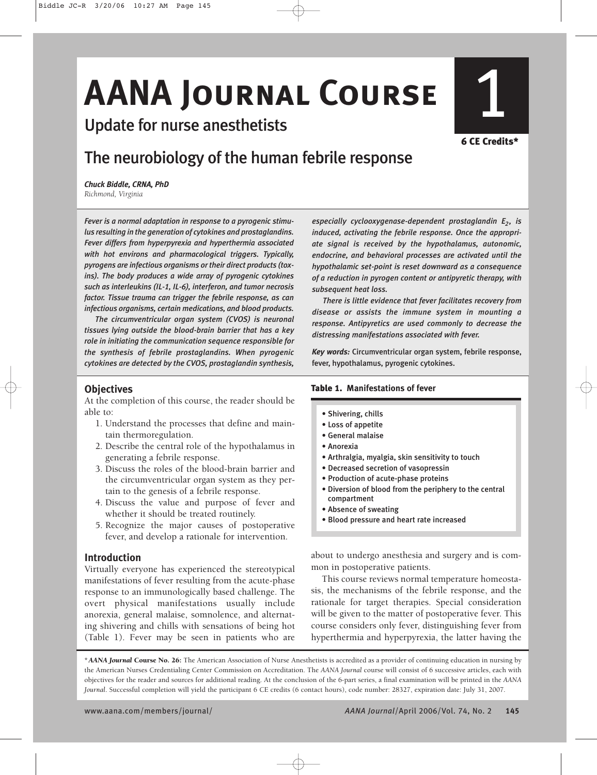# **AANA JOURNAL COURSE**

Update for nurse anesthetists

# **6 CE Credits\***

# The neurobiology of the human febrile response

*Chuck Biddle, CRNA, PhD Richmond, Virginia*

*Fever is a normal adaptation in response to a pyrogenic stimulus resulting in the generation of cytokines and prostaglandins. Fever differs from hyperpyrexia and hyperthermia associated with hot environs and pharmacological triggers. Typically, pyrogens are infectious organisms or their direct products (toxins). The body produces a wide array of pyrogenic cytokines such as interleukins (IL-1, IL-6), interferon, and tumor necrosis factor. Tissue trauma can trigger the febrile response, as can infectious organisms, certain medications, and blood products.*

*The circumventricular organ system (CVOS) is neuronal tissues lying outside the blood-brain barrier that has a key role in initiating the communication sequence responsible for the synthesis of febrile prostaglandins. When pyrogenic cytokines are detected by the CVOS, prostaglandin synthesis,*

# **Objectives**

At the completion of this course, the reader should be able to:

- 1. Understand the processes that define and maintain thermoregulation.
- 2. Describe the central role of the hypothalamus in generating a febrile response.
- 3. Discuss the roles of the blood-brain barrier and the circumventricular organ system as they pertain to the genesis of a febrile response.
- 4. Discuss the value and purpose of fever and whether it should be treated routinely.
- 5. Recognize the major causes of postoperative fever, and develop a rationale for intervention.

## **Introduction**

Virtually everyone has experienced the stereotypical manifestations of fever resulting from the acute-phase response to an immunologically based challenge. The overt physical manifestations usually include anorexia, general malaise, somnolence, and alternating shivering and chills with sensations of being hot (Table 1). Fever may be seen in patients who are

*especially cyclooxygenase-dependent prostaglandin E<sub>2</sub>, is induced, activating the febrile response. Once the appropriate signal is received by the hypothalamus, autonomic, endocrine, and behavioral processes are activated until the hypothalamic set-point is reset downward as a consequence of a reduction in pyrogen content or antipyretic therapy, with subsequent heat loss.*

*There is little evidence that fever facilitates recovery from disease or assists the immune system in mounting a response. Antipyretics are used commonly to decrease the distressing manifestations associated with fever.*

*Key words:* Circumventricular organ system, febrile response, fever, hypothalamus, pyrogenic cytokines.

### **Table 1. Manifestations of fever**

- Shivering, chills
- Loss of appetite
- General malaise
- Anorexia
- Arthralgia, myalgia, skin sensitivity to touch
- Decreased secretion of vasopressin
- Production of acute-phase proteins
- Diversion of blood from the periphery to the central compartment
- Absence of sweating
- Blood pressure and heart rate increased

about to undergo anesthesia and surgery and is common in postoperative patients.

This course reviews normal temperature homeostasis, the mechanisms of the febrile response, and the rationale for target therapies. Special consideration will be given to the matter of postoperative fever. This course considers only fever, distinguishing fever from hyperthermia and hyperpyrexia, the latter having the

**\****AANA Journal* **Course No. 26:** The American Association of Nurse Anesthetists is accredited as a provider of continuing education in nursing by the American Nurses Credentialing Center Commission on Accreditation. The *AANA Journal* course will consist of 6 successive articles, each with objectives for the reader and sources for additional reading. At the conclusion of the 6-part series, a final examination will be printed in the *AANA Journal*. Successful completion will yield the participant 6 CE credits (6 contact hours), code number: 28327, expiration date: July 31, 2007.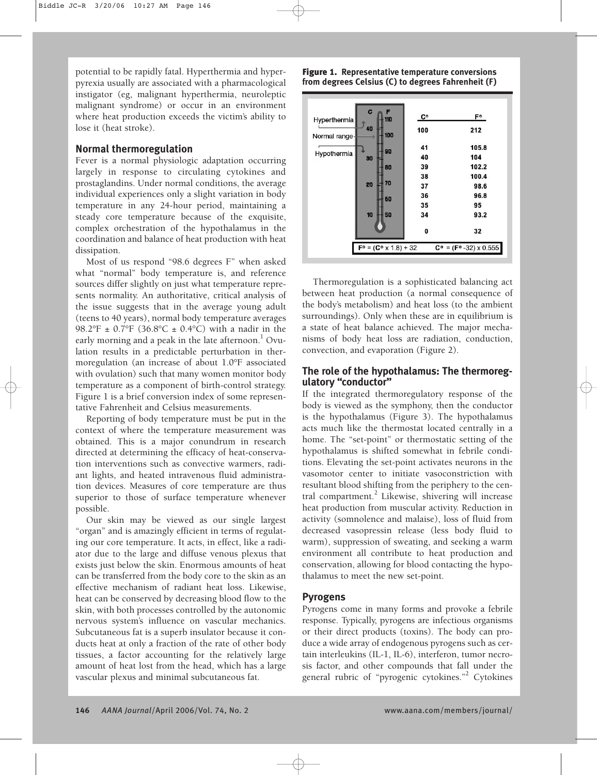potential to be rapidly fatal. Hyperthermia and hyperpyrexia usually are associated with a pharmacological instigator (eg, malignant hyperthermia, neuroleptic malignant syndrome) or occur in an environment where heat production exceeds the victim's ability to lose it (heat stroke).

# **Normal thermoregulation**

Fever is a normal physiologic adaptation occurring largely in response to circulating cytokines and prostaglandins. Under normal conditions, the average individual experiences only a slight variation in body temperature in any 24-hour period, maintaining a steady core temperature because of the exquisite, complex orchestration of the hypothalamus in the coordination and balance of heat production with heat dissipation.

Most of us respond "98.6 degrees F" when asked what "normal" body temperature is, and reference sources differ slightly on just what temperature represents normality. An authoritative, critical analysis of the issue suggests that in the average young adult (teens to 40 years), normal body temperature averages 98.2°F  $\pm$  0.7°F (36.8°C  $\pm$  0.4°C) with a nadir in the early morning and a peak in the late afternoon.<sup>1</sup> Ovulation results in a predictable perturbation in thermoregulation (an increase of about 1.0°F associated with ovulation) such that many women monitor body temperature as a component of birth-control strategy. Figure 1 is a brief conversion index of some representative Fahrenheit and Celsius measurements.

Reporting of body temperature must be put in the context of where the temperature measurement was obtained. This is a major conundrum in research directed at determining the efficacy of heat-conservation interventions such as convective warmers, radiant lights, and heated intravenous fluid administration devices. Measures of core temperature are thus superior to those of surface temperature whenever possible.

Our skin may be viewed as our single largest "organ" and is amazingly efficient in terms of regulating our core temperature. It acts, in effect, like a radiator due to the large and diffuse venous plexus that exists just below the skin. Enormous amounts of heat can be transferred from the body core to the skin as an effective mechanism of radiant heat loss. Likewise, heat can be conserved by decreasing blood flow to the skin, with both processes controlled by the autonomic nervous system's influence on vascular mechanics. Subcutaneous fat is a superb insulator because it conducts heat at only a fraction of the rate of other body tissues, a factor accounting for the relatively large amount of heat lost from the head, which has a large vascular plexus and minimal subcutaneous fat.

**Figure 1. Representative temperature conversions from degrees Celsius (C) to degrees Fahrenheit (F)**

| Hyperthermia  | C<br>F<br>110                             | С۰  | F°                                          |
|---------------|-------------------------------------------|-----|---------------------------------------------|
| Normal range- | 40<br>100                                 | 100 | 212                                         |
| Hypothermia   | 90<br>30                                  | 41  | 105.8                                       |
|               |                                           | 40  | 104                                         |
|               | 80                                        | 39  | 102.2                                       |
|               | 70<br>20                                  | 38  | 100.4                                       |
|               |                                           | 37  | 98.6                                        |
|               | 60                                        | 36  | 96.8                                        |
|               |                                           | 35  | 95                                          |
|               | 10<br>50                                  | 34  | 93.2                                        |
|               |                                           | 0   | 32                                          |
|               | $F^{\circ} = (C^{\circ} \times 1.8) + 32$ |     | $C^{\circ} = (F^{\circ} - 32) \times 0.555$ |

Thermoregulation is a sophisticated balancing act between heat production (a normal consequence of the body's metabolism) and heat loss (to the ambient surroundings). Only when these are in equilibrium is a state of heat balance achieved. The major mechanisms of body heat loss are radiation, conduction, convection, and evaporation (Figure 2).

# **The role of the hypothalamus: The thermoregulatory "conductor"**

If the integrated thermoregulatory response of the body is viewed as the symphony, then the conductor is the hypothalamus (Figure 3). The hypothalamus acts much like the thermostat located centrally in a home. The "set-point" or thermostatic setting of the hypothalamus is shifted somewhat in febrile conditions. Elevating the set-point activates neurons in the vasomotor center to initiate vasoconstriction with resultant blood shifting from the periphery to the central compartment. $^{2}$  Likewise, shivering will increase heat production from muscular activity. Reduction in activity (somnolence and malaise), loss of fluid from decreased vasopressin release (less body fluid to warm), suppression of sweating, and seeking a warm environment all contribute to heat production and conservation, allowing for blood contacting the hypothalamus to meet the new set-point.

# **Pyrogens**

Pyrogens come in many forms and provoke a febrile response. Typically, pyrogens are infectious organisms or their direct products (toxins). The body can produce a wide array of endogenous pyrogens such as certain interleukins (IL-1, IL-6), interferon, tumor necrosis factor, and other compounds that fall under the general rubric of "pyrogenic cytokines."2 Cytokines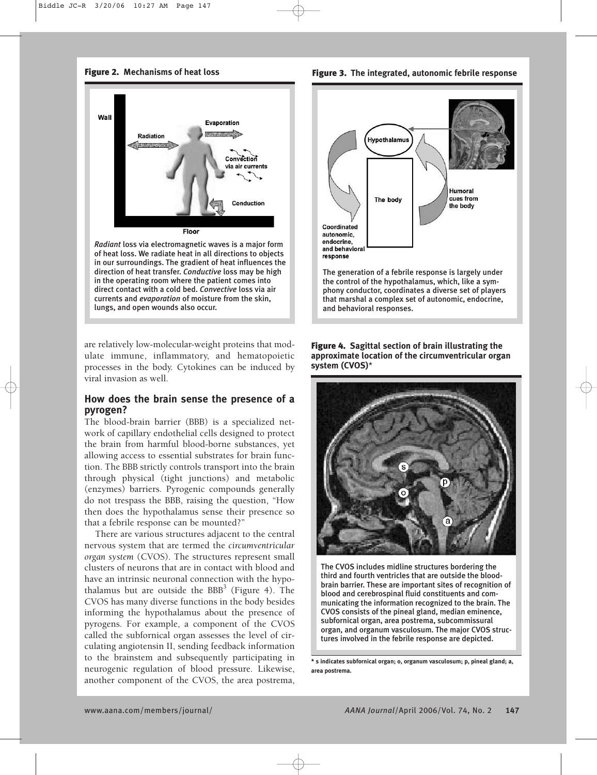**Figure 2. Mechanisms of heat loss**



*Radiant* loss via electromagnetic waves is a major form of heat loss. We radiate heat in all directions to objects in our surroundings. The gradient of heat influences the direction of heat transfer. *Conductive* loss may be high in the operating room where the patient comes into direct contact with a cold bed. *Convective* loss via air currents and *evaporation* of moisture from the skin, lungs, and open wounds also occur.

are relatively low-molecular-weight proteins that modulate immune, inflammatory, and hematopoietic processes in the body. Cytokines can be induced by viral invasion as well.

## **How does the brain sense the presence of a pyrogen?**

The blood-brain barrier (BBB) is a specialized network of capillary endothelial cells designed to protect the brain from harmful blood-borne substances, yet allowing access to essential substrates for brain function. The BBB strictly controls transport into the brain through physical (tight junctions) and metabolic (enzymes) barriers. Pyrogenic compounds generally do not trespass the BBB, raising the question, "How then does the hypothalamus sense their presence so that a febrile response can be mounted?"

There are various structures adjacent to the central nervous system that are termed the *circumventricular organ system* (CVOS). The structures represent small clusters of neurons that are in contact with blood and have an intrinsic neuronal connection with the hypothalamus but are outside the  $BBB<sup>3</sup>$  (Figure 4). The CVOS has many diverse functions in the body besides informing the hypothalamus about the presence of pyrogens. For example, a component of the CVOS called the subfornical organ assesses the level of circulating angiotensin II, sending feedback information to the brainstem and subsequently participating in neurogenic regulation of blood pressure. Likewise, another component of the CVOS, the area postrema,

**Figure 3. The integrated, autonomic febrile response**



### **Figure 4. Sagittal section of brain illustrating the approximate location of the circumventricular organ system (CVOS)**\*



The CVOS includes midline structures bordering the third and fourth ventricles that are outside the bloodbrain barrier. These are important sites of recognition of blood and cerebrospinal fluid constituents and communicating the information recognized to the brain. The CVOS consists of the pineal gland, median eminence, subfornical organ, area postrema, subcommissural organ, and organum vasculosum. The major CVOS structures involved in the febrile response are depicted.

**\* s indicates subfornical organ; o, organum vasculosum; p, pineal gland; a, area postrema.**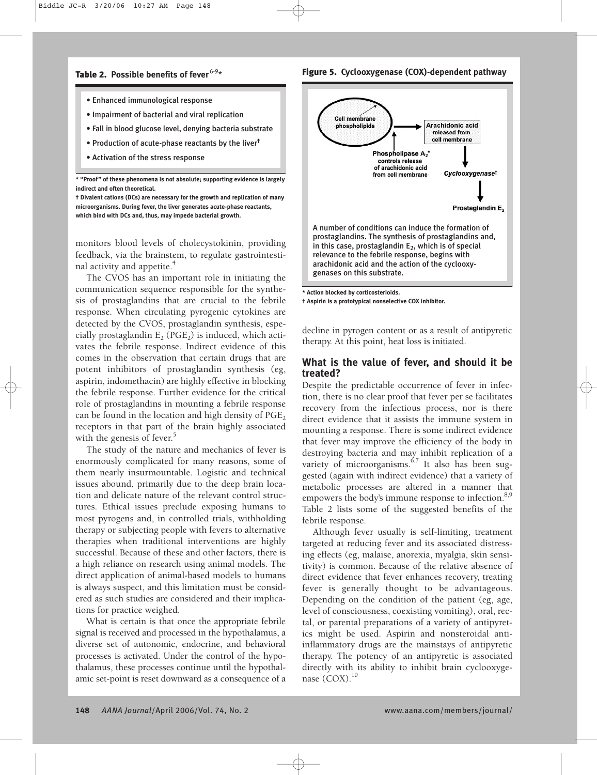#### **Figure 5. Cyclooxygenase (COX)-dependent pathway**

- Enhanced immunological response
- Impairment of bacterial and viral replication
- Fall in blood glucose level, denying bacteria substrate
- Production of acute-phase reactants by the liver†
- Activation of the stress response

**\* "Proof" of these phenomena is not absolute; supporting evidence is largely indirect and often theoretical.**

**† Divalent cations (DCs) are necessary for the growth and replication of many microorganisms. During fever, the liver generates acute-phase reactants, which bind with DCs and, thus, may impede bacterial growth.**

monitors blood levels of cholecystokinin, providing feedback, via the brainstem, to regulate gastrointestinal activity and appetite.<sup>4</sup>

The CVOS has an important role in initiating the communication sequence responsible for the synthesis of prostaglandins that are crucial to the febrile response. When circulating pyrogenic cytokines are detected by the CVOS, prostaglandin synthesis, especially prostaglandin  $E_2$  (PGE<sub>2</sub>) is induced, which activates the febrile response. Indirect evidence of this comes in the observation that certain drugs that are potent inhibitors of prostaglandin synthesis (eg, aspirin, indomethacin) are highly effective in blocking the febrile response. Further evidence for the critical role of prostaglandins in mounting a febrile response can be found in the location and high density of  $PGE$ , receptors in that part of the brain highly associated with the genesis of fever. 5

The study of the nature and mechanics of fever is enormously complicated for many reasons, some of them nearly insurmountable. Logistic and technical issues abound, primarily due to the deep brain location and delicate nature of the relevant control structures. Ethical issues preclude exposing humans to most pyrogens and, in controlled trials, withholding therapy or subjecting people with fevers to alternative therapies when traditional interventions are highly successful. Because of these and other factors, there is a high reliance on research using animal models. The direct application of animal-based models to humans is always suspect, and this limitation must be considered as such studies are considered and their implications for practice weighed.

What is certain is that once the appropriate febrile signal is received and processed in the hypothalamus, a diverse set of autonomic, endocrine, and behavioral processes is activated. Under the control of the hypothalamus, these processes continue until the hypothalamic set-point is reset downward as a consequence of a



**\* Action blocked by corticosterioids. † Aspirin is a prototypical nonselective COX inhibitor.**

decline in pyrogen content or as a result of antipyretic

therapy. At this point, heat loss is initiated.

# **What is the value of fever, and should it be treated?**

Despite the predictable occurrence of fever in infection, there is no clear proof that fever per se facilitates recovery from the infectious process, nor is there direct evidence that it assists the immune system in mounting a response. There is some indirect evidence that fever may improve the efficiency of the body in destroying bacteria and may inhibit replication of a variety of microorganisms.<sup>6,7</sup> It also has been suggested (again with indirect evidence) that a variety of metabolic processes are altered in a manner that empowers the body's immune response to infection.<sup>8,9</sup> Table 2 lists some of the suggested benefits of the febrile response.

Although fever usually is self-limiting, treatment targeted at reducing fever and its associated distressing effects (eg, malaise, anorexia, myalgia, skin sensitivity) is common. Because of the relative absence of direct evidence that fever enhances recovery, treating fever is generally thought to be advantageous. Depending on the condition of the patient (eg, age, level of consciousness, coexisting vomiting), oral, rectal, or parental preparations of a variety of antipyretics might be used. Aspirin and nonsteroidal antiinflammatory drugs are the mainstays of antipyretic therapy. The potency of an antipyretic is associated directly with its ability to inhibit brain cyclooxygenase (COX).<sup>10</sup>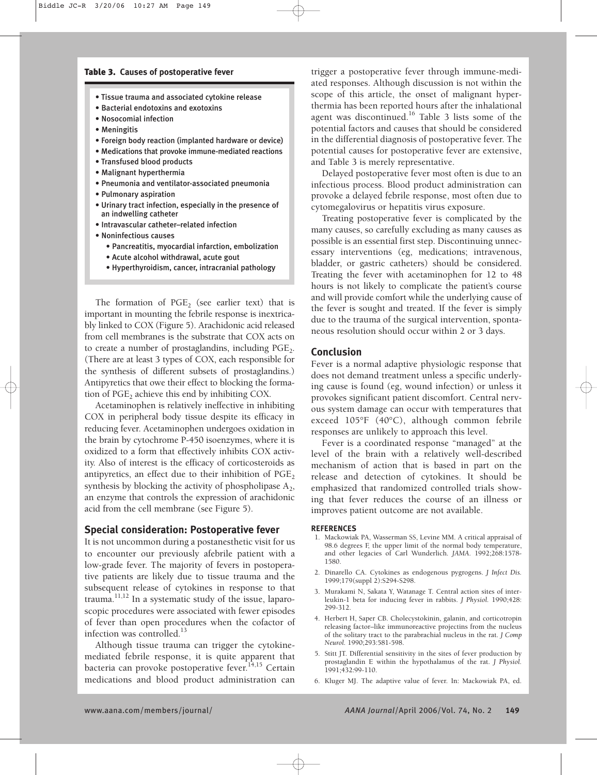#### **Table 3. Causes of postoperative fever**

- Tissue trauma and associated cytokine release
- Bacterial endotoxins and exotoxins
- Nosocomial infection
- Meningitis
- Foreign body reaction (implanted hardware or device)
- Medications that provoke immune-mediated reactions
- Transfused blood products
- Malignant hyperthermia
- Pneumonia and ventilator-associated pneumonia
- Pulmonary aspiration
- Urinary tract infection, especially in the presence of an indwelling catheter
- Intravascular catheter–related infection
- Noninfectious causes
	- Pancreatitis, myocardial infarction, embolization
	- Acute alcohol withdrawal, acute gout
	- Hyperthyroidism, cancer, intracranial pathology

The formation of  $PGE$ <sub>2</sub> (see earlier text) that is important in mounting the febrile response is inextricably linked to COX (Figure 5). Arachidonic acid released from cell membranes is the substrate that COX acts on to create a number of prostaglandins, including  $PGE<sub>2</sub>$ . (There are at least 3 types of COX, each responsible for the synthesis of different subsets of prostaglandins.) Antipyretics that owe their effect to blocking the formation of  $PGE$ <sub>2</sub> achieve this end by inhibiting COX.

Acetaminophen is relatively ineffective in inhibiting COX in peripheral body tissue despite its efficacy in reducing fever. Acetaminophen undergoes oxidation in the brain by cytochrome P-450 isoenzymes, where it is oxidized to a form that effectively inhibits COX activity. Also of interest is the efficacy of corticosteroids as antipyretics, an effect due to their inhibition of  $PGE<sub>2</sub>$ synthesis by blocking the activity of phospholipase  $A_2$ , an enzyme that controls the expression of arachidonic acid from the cell membrane (see Figure 5).

#### **Special consideration: Postoperative fever**

It is not uncommon during a postanesthetic visit for us to encounter our previously afebrile patient with a low-grade fever. The majority of fevers in postoperative patients are likely due to tissue trauma and the subsequent release of cytokines in response to that trauma.<sup>11,12</sup> In a systematic study of the issue, laparoscopic procedures were associated with fewer episodes of fever than open procedures when the cofactor of infection was controlled.<sup>13</sup>

Although tissue trauma can trigger the cytokinemediated febrile response, it is quite apparent that bacteria can provoke postoperative fever. 14,15 Certain medications and blood product administration can

trigger a postoperative fever through immune-mediated responses. Although discussion is not within the scope of this article, the onset of malignant hyperthermia has been reported hours after the inhalational agent was discontinued.16 Table 3 lists some of the potential factors and causes that should be considered in the differential diagnosis of postoperative fever. The potential causes for postoperative fever are extensive, and Table 3 is merely representative.

Delayed postoperative fever most often is due to an infectious process. Blood product administration can provoke a delayed febrile response, most often due to cytomegalovirus or hepatitis virus exposure.

Treating postoperative fever is complicated by the many causes, so carefully excluding as many causes as possible is an essential first step. Discontinuing unnecessary interventions (eg, medications; intravenous, bladder, or gastric catheters) should be considered. Treating the fever with acetaminophen for 12 to 48 hours is not likely to complicate the patient's course and will provide comfort while the underlying cause of the fever is sought and treated. If the fever is simply due to the trauma of the surgical intervention, spontaneous resolution should occur within 2 or 3 days.

#### **Conclusion**

Fever is a normal adaptive physiologic response that does not demand treatment unless a specific underlying cause is found (eg, wound infection) or unless it provokes significant patient discomfort. Central nervous system damage can occur with temperatures that exceed 105°F (40°C), although common febrile responses are unlikely to approach this level.

Fever is a coordinated response "managed" at the level of the brain with a relatively well-described mechanism of action that is based in part on the release and detection of cytokines. It should be emphasized that randomized controlled trials showing that fever reduces the course of an illness or improves patient outcome are not available.

#### **REFERENCES**

- 1. Mackowiak PA, Wasserman SS, Levine MM. A critical appraisal of 98.6 degrees F, the upper limit of the normal body temperature, and other legacies of Carl Wunderlich. *JAMA*. 1992;268:1578- 1580.
- 2. Dinarello CA. Cytokines as endogenous pygrogens. *J Infect Dis.* 1999;179(suppl 2):S294-S298.
- 3. Murakami N, Sakata Y, Watanage T. Central action sites of interleukin-1 beta for inducing fever in rabbits. *J Physiol.* 1990;428: 299-312.
- 4. Herbert H, Saper CB. Cholecystokinin, galanin, and corticotropin releasing factor–like immunoreactive projectins from the nucleus of the solitary tract to the parabrachial nucleus in the rat. *J Comp Neurol.* 1990;293:581-598.
- 5. Stitt JT. Differential sensitivity in the sites of fever production by prostaglandin E within the hypothalamus of the rat. *J Physiol.* 1991;432:99-110.
- 6. Kluger MJ. The adaptive value of fever. In: Mackowiak PA, ed.